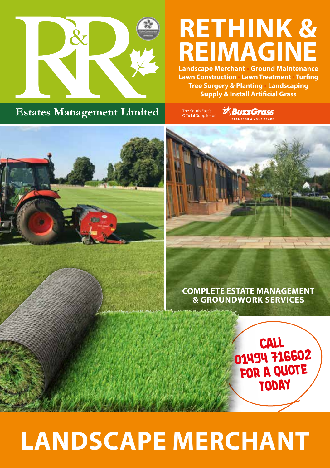

# **RETHINK & REIMAGINE**

**Landscape Merchant • Ground Maintenance Lawn Construction • Lawn Treatment • Turfing Tree Surgery & Planting • Landscaping Supply & Install Artificial Grass**

# **Estates Management Limited**

The South East's nne South Eusts<br>Official Supplier o **& BuzzGrass** PANSEORM VOILD SPACE



#### **COMPLETE ESTATE MANAGEMENT & GROUNDWORK SERVICES**

**Call 01494 716602 for a quote today**

# LANDSCAPE MERCHANT **COMPLETE ESTATE MANAGEMENT & GROUNDWORK SERVICES** Lawn Treatment • Supply & install artificial grass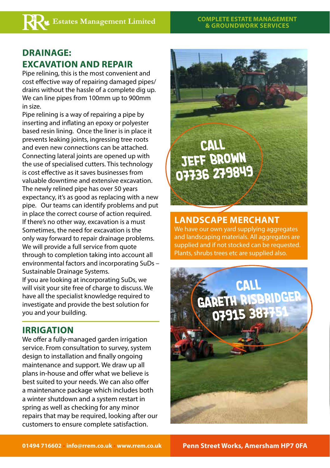# **DRAINAGE: EXCAVATION AND REPAIR**

Pipe relining, this is the most convenient and cost effective way of repairing damaged pipes/ drains without the hassle of a complete dig up. We can line pipes from 100mm up to 900mm in size.

Pipe relining is a way of repairing a pipe by inserting and inflating an epoxy or polyester based resin lining. Once the liner is in place it prevents leaking joints, ingressing tree roots and even new connections can be attached. Connecting lateral joints are opened up with the use of specialised cutters. This technology is cost effective as it saves businesses from valuable downtime and extensive excavation. The newly relined pipe has over 50 years expectancy, it's as good as replacing with a new pipe. Our teams can identify problems and put in place the correct course of action required. If there's no other way, excavation is a must Sometimes, the need for excavation is the only way forward to repair drainage problems. We will provide a full service from quote through to completion taking into account all environmental factors and incorporating SuDs – Sustainable Drainage Systems. If you are looking at incorporating SuDs, we will visit your site free of charge to discuss. We have all the specialist knowledge required to investigate and provide the best solution for you and your building.

## **IRRIGATION**

We offer a fully-managed garden irrigation service. From consultation to survey, system design to installation and finally ongoing maintenance and support. We draw up all plans in-house and offer what we believe is best suited to your needs. We can also offer a maintenance package which includes both a winter shutdown and a system restart in spring as well as checking for any minor repairs that may be required, looking after our customers to ensure complete satisfaction.

**Call Jeff Brown 07736 279849**

# **LANDSCAPE MERCHANT**

We have our own yard supplying aggregates and landscaping materials. All aggregates are supplied and if not stocked can be requested. Plants, shrubs trees etc are supplied also.

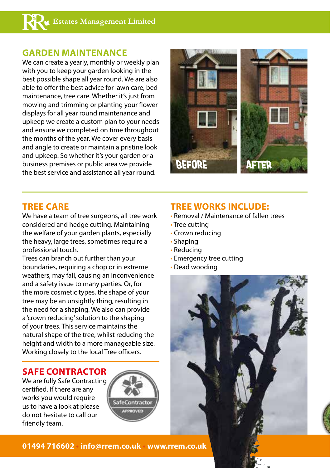#### **GARDEN MAINTENANCE**

We can create a yearly, monthly or weekly plan with you to keep your garden looking in the best possible shape all year round. We are also able to offer the best advice for lawn care, bed maintenance, tree care. Whether it's just from mowing and trimming or planting your flower displays for all year round maintenance and upkeep we create a custom plan to your needs and ensure we completed on time throughout the months of the year. We cover every basis and angle to create or maintain a pristine look and upkeep. So whether it's your garden or a business premises or public area we provide the best service and assistance all year round.



#### **TREE CARE**

We have a team of tree surgeons, all tree work considered and hedge cutting. Maintaining the welfare of your garden plants, especially the heavy, large trees, sometimes require a professional touch.

Trees can branch out further than your boundaries, requiring a chop or in extreme weathers, may fall, causing an inconvenience and a safety issue to many parties. Or, for the more cosmetic types, the shape of your tree may be an unsightly thing, resulting in the need for a shaping. We also can provide a 'crown reducing' solution to the shaping of your trees. This service maintains the natural shape of the tree, whilst reducing the height and width to a more manageable size. Working closely to the local Tree officers.

#### **SAFE CONTRACTOR**

We are fully Safe Contracting certified. If there are any works you would require us to have a look at please do not hesitate to call our friendly team.



## **TREE WORKS INCLUDE:**

- Removal / Maintenance of fallen trees
- Tree cutting
- Crown reducing
- Shaping
- Reducing
- Emergency tree cutting
- Dead wooding



**01494 716602 • info@rrem.co.uk • www.rrem.co.uk**